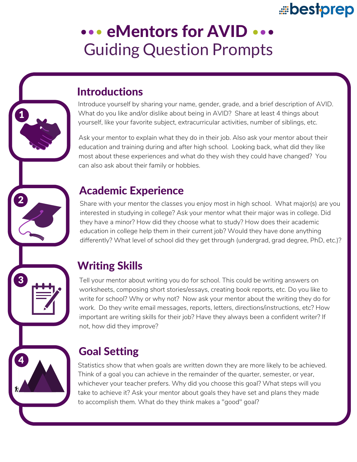# bestprep

# **... eMentors for AVID ...** Guiding Question Prompts

### **Introductions**

1

 $\mathbf{2}$ 

3

4

Introduce yourself by sharing your name, gender, grade, and a brief description of AVID. What do you like and/or dislike about being in AVID? Share at least 4 things about yourself, like your favorite subject, extracurricular activities, number of siblings, etc.

Ask your mentor to explain what they do in their job. Also ask your mentor about their education and training during and after high school. Looking back, what did they like most about these experiences and what do they wish they could have changed? You can also ask about their family or hobbies.

### Academic Experience

Share with your mentor the classes you enjoy most in high school. What major(s) are you interested in studying in college? Ask your mentor what their major was in college. Did they have a minor? How did they choose what to study? How does their academic education in college help them in their current job? Would they have done anything differently? What level of school did they get through (undergrad, grad degree, PhD, etc.)?

## Writing Skills

Tell your mentor about writing you do for school. This could be writing answers on worksheets, composing short stories/essays, creating book reports, etc. Do you like to write for school? Why or why not? Now ask your mentor about the writing they do for work. Do they write email messages, reports, letters, directions/instructions, etc? How important are writing skills for their job? Have they always been a confident writer? If not, how did they improve?

## Goal Setting

Statistics show that when goals are written down they are more likely to be achieved. Think of a goal you can achieve in the remainder of the quarter, semester, or year, whichever your teacher prefers. Why did you choose this goal? What steps will you take to achieve it? Ask your mentor about goals they have set and plans they made to accomplish them. What do they think makes a "good" goal?